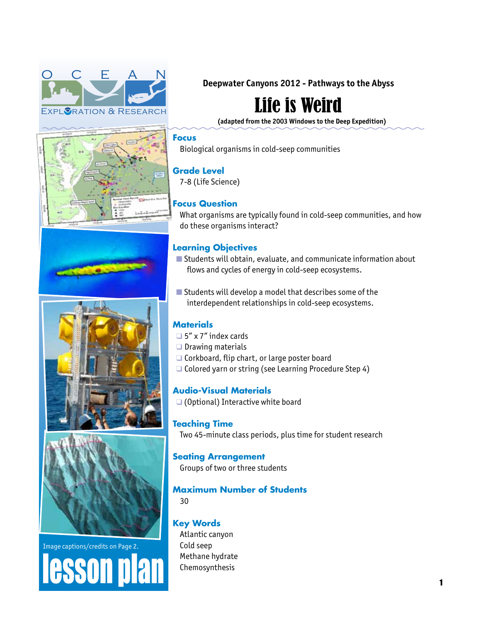









Image captions/credits on Page 2. esson pla **Deepwater Canyons 2012 - Pathways to the Abyss** 

# Life is Weird

**(adapted from the 2003 Windows to the Deep Expedition)**

#### **Focus**

Biological organisms in cold-seep communities

# **Grade Level**

7-8 (Life Science)

# **Focus Question**

What organisms are typically found in cold-seep communities, and how do these organisms interact?

# **Learning Objectives**

- $\blacksquare$  Students will obtain, evaluate, and communicate information about flows and cycles of energy in cold-seep ecosystems.
- $\blacksquare$  Students will develop a model that describes some of the interdependent relationships in cold-seep ecosystems.

# **Materials**

- $\Box$  5" x 7" index cards
- $\Box$  Drawing materials
- $\Box$  Corkboard, flip chart, or large poster board
- $\Box$  Colored yarn or string (see Learning Procedure Step 4)

**Audio-Visual Materials**

 $\Box$  (Optional) Interactive white board

# **Teaching Time**

Two 45-minute class periods, plus time for student research

# **Seating Arrangement**

Groups of two or three students

# **Maximum Number of Students**

30

# **Key Words**

Atlantic canyon Cold seep Methane hydrate Chemosynthesis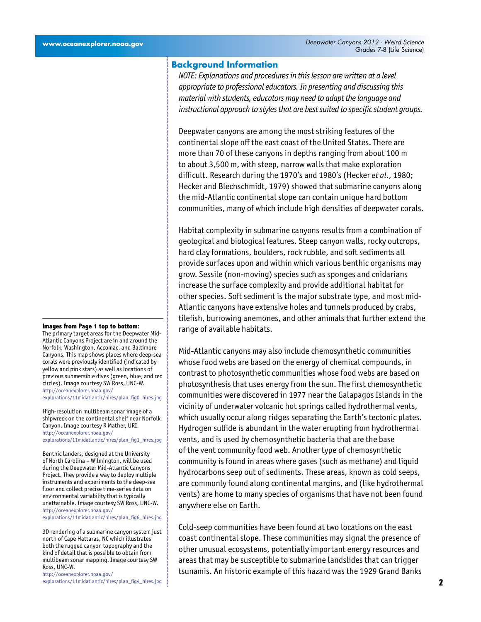#### **Background Information**

*NOTE: Explanations and procedures in this lesson are written at a level appropriate to professional educators. In presenting and discussing this material with students, educators may need to adapt the language and instructional approach to styles that are best suited to specific student groups.*

Deepwater canyons are among the most striking features of the continental slope off the east coast of the United States. There are more than 70 of these canyons in depths ranging from about 100 m to about 3,500 m, with steep, narrow walls that make exploration difficult. Research during the 1970's and 1980's (Hecker *et al*., 1980; Hecker and Blechschmidt, 1979) showed that submarine canyons along the mid-Atlantic continental slope can contain unique hard bottom communities, many of which include high densities of deepwater corals.

Habitat complexity in submarine canyons results from a combination of geological and biological features. Steep canyon walls, rocky outcrops, hard clay formations, boulders, rock rubble, and soft sediments all provide surfaces upon and within which various benthic organisms may grow. Sessile (non-moving) species such as sponges and cnidarians increase the surface complexity and provide additional habitat for other species. Soft sediment is the major substrate type, and most mid-Atlantic canyons have extensive holes and tunnels produced by crabs, tilefish, burrowing anemones, and other animals that further extend the range of available habitats.

Mid-Atlantic canyons may also include chemosynthetic communities whose food webs are based on the energy of chemical compounds, in contrast to photosynthetic communities whose food webs are based on photosynthesis that uses energy from the sun. The first chemosynthetic communities were discovered in 1977 near the Galapagos Islands in the vicinity of underwater volcanic hot springs called hydrothermal vents, which usually occur along ridges separating the Earth's tectonic plates. Hydrogen sulfide is abundant in the water erupting from hydrothermal vents, and is used by chemosynthetic bacteria that are the base of the vent community food web. Another type of chemosynthetic community is found in areas where gases (such as methane) and liquid hydrocarbons seep out of sediments. These areas, known as cold seeps, are commonly found along continental margins, and (like hydrothermal vents) are home to many species of organisms that have not been found anywhere else on Earth.

Cold-seep communities have been found at two locations on the east coast continental slope. These communities may signal the presence of other unusual ecosystems, potentially important energy resources and areas that may be susceptible to submarine landslides that can trigger tsunamis. An historic example of this hazard was the 1929 Grand Banks

#### **Images from Page 1 top to bottom:**

The primary target areas for the Deepwater Mid-Atlantic Canyons Project are in and around the Norfolk, Washington, Accomac, and Baltimore Canyons. This map shows places where deep-sea corals were previously identified (indicated by yellow and pink stars) as well as locations of previous submersible dives (green, blue, and red circles). Image courtesy SW Ross, UNC-W. [http://oceanexplorer.noaa.gov/](http://oceanexplorer.noaa.gov/explorations/11midatlantic/hires/plan_fig0_hires.jpg)

[explorations/11midatlantic/hires/plan\\_fig0\\_hires.jpg](http://oceanexplorer.noaa.gov/explorations/11midatlantic/hires/plan_fig0_hires.jpg)

High-resolution multibeam sonar image of a shipwreck on the continental shelf near Norfolk Canyon. Image courtesy R Mather, URI. [http://oceanexplorer.noaa.gov/](http://oceanexplorer.noaa.gov/explorations/11midatlantic/hires/plan_fig1_hires.jpg) [explorations/11midatlantic/hires/plan\\_fig1\\_hires.jpg](http://oceanexplorer.noaa.gov/explorations/11midatlantic/hires/plan_fig1_hires.jpg)

Benthic landers, designed at the University of North Carolina – Wilmington, will be used during the Deepwater Mid-Atlantic Canyons Project. They provide a way to deploy multiple instruments and experiments to the deep-sea floor and collect precise time-series data on environmental variability that is typically unattainable. Image courtesy SW Ross, UNC-W. [http://oceanexplorer.noaa.gov/](http://oceanexplorer.noaa.gov/explorations/11midatlantic/hires/plan_fig6_hires.jpg)

[explorations/11midatlantic/hires/plan\\_fig6\\_hires.jpg](http://oceanexplorer.noaa.gov/explorations/11midatlantic/hires/plan_fig6_hires.jpg)

3D rendering of a submarine canyon system just north of Cape Hattaras, NC which illustrates both the rugged canyon topography and the kind of detail that is possible to obtain from multibeam sonar mapping. Image courtesy SW Ross, UNC-W.

[http://oceanexplorer.noaa.gov/](http://oceanexplorer.noaa.gov/explorations/11midatlantic/hires/plan_fig4_hires.jpg) [explorations/11midatlantic/hires/plan\\_fig4\\_hires.jpg](http://oceanexplorer.noaa.gov/explorations/11midatlantic/hires/plan_fig4_hires.jpg)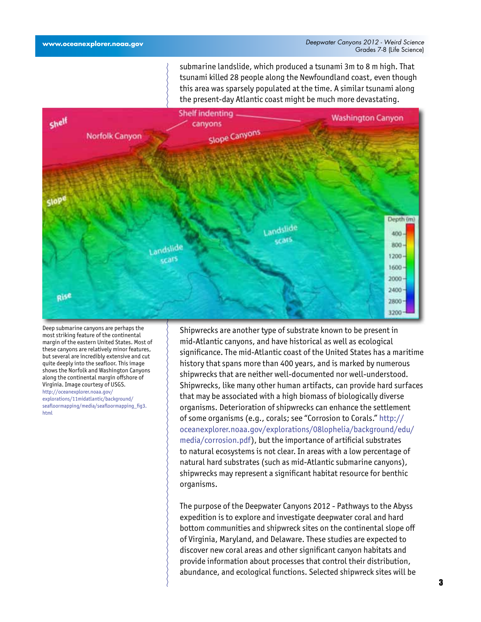submarine landslide, which produced a tsunami 3m to 8 m high. That tsunami killed 28 people along the Newfoundland coast, even though this area was sparsely populated at the time. A similar tsunami along the present-day Atlantic coast might be much more devastating.



Deep submarine canyons are perhaps the most striking feature of the continental margin of the eastern United States. Most of these canyons are relatively minor features, but several are incredibly extensive and cut quite deeply into the seafloor. This image shows the Norfolk and Washington Canyons along the continental margin offshore of Virginia. Image courtesy of USGS. [http://oceanexplorer.noaa.gov/](http://oceanexplorer.noaa.gov/explorations/11midatlantic/background/seafloormapping/media/seafloormapping_fig3.html) [explorations/11midatlantic/background/](http://oceanexplorer.noaa.gov/explorations/11midatlantic/background/seafloormapping/media/seafloormapping_fig3.html) [seafloormapping/media/seafloormapping\\_fig3.](http://oceanexplorer.noaa.gov/explorations/11midatlantic/background/seafloormapping/media/seafloormapping_fig3.html) [html](http://oceanexplorer.noaa.gov/explorations/11midatlantic/background/seafloormapping/media/seafloormapping_fig3.html)

Shipwrecks are another type of substrate known to be present in mid-Atlantic canyons, and have historical as well as ecological significance. The mid-Atlantic coast of the United States has a maritime history that spans more than 400 years, and is marked by numerous shipwrecks that are neither well-documented nor well-understood. Shipwrecks, like many other human artifacts, can provide hard surfaces that may be associated with a high biomass of biologically diverse organisms. Deterioration of shipwrecks can enhance the settlement of some organisms (e.g., corals; see "Corrosion to Corals." [http://](http://oceanexplorer.noaa.gov/explorations/08lophelia/background/edu/media/corrosion.pdf) [oceanexplorer.noaa.gov/explorations/08lophelia/background/edu/](http://oceanexplorer.noaa.gov/explorations/08lophelia/background/edu/media/corrosion.pdf) [media/corrosion.pdf\)](http://oceanexplorer.noaa.gov/explorations/08lophelia/background/edu/media/corrosion.pdf), but the importance of artificial substrates to natural ecosystems is not clear. In areas with a low percentage of natural hard substrates (such as mid-Atlantic submarine canyons), shipwrecks may represent a significant habitat resource for benthic organisms.

The purpose of the Deepwater Canyons 2012 - Pathways to the Abyss expedition is to explore and investigate deepwater coral and hard bottom communities and shipwreck sites on the continental slope off of Virginia, Maryland, and Delaware. These studies are expected to discover new coral areas and other significant canyon habitats and provide information about processes that control their distribution, abundance, and ecological functions. Selected shipwreck sites will be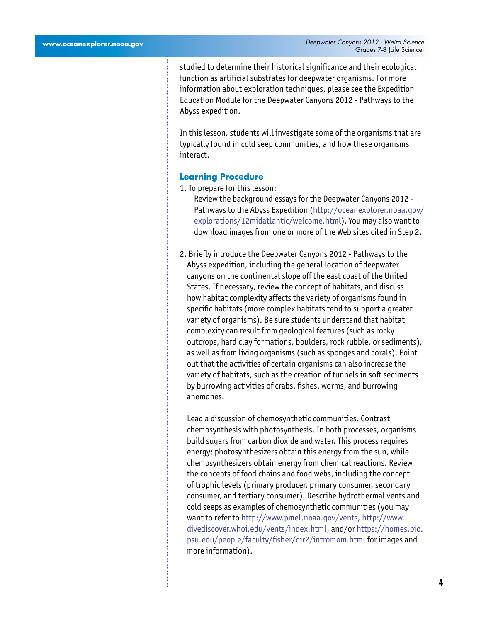studied to determine their historical significance and their ecological function as artificial substrates for deepwater organisms. For more information about exploration techniques, please see the Expedition Education Module for the Deepwater Canyons 2012 - Pathways to the Abyss expedition.

In this lesson, students will investigate some of the organisms that are typically found in cold seep communities, and how these organisms interact.

#### **Learning Procedure**

- 1. To prepare for this lesson:
	- Review the background essays for the Deepwater Canyons 2012 Pathways to the Abyss Expedition ([http://oceanexplorer.noaa.gov/](http://oceanexplorer.noaa.gov/explorations/12midatlantic/welcome.html) [explorations/12midatlantic/welcome.html](http://oceanexplorer.noaa.gov/explorations/12midatlantic/welcome.html)). You may also want to download images from one or more of the Web sites cited in Step 2.
- 2. Briefly introduce the Deepwater Canyons 2012 Pathways to the Abyss expedition, including the general location of deepwater canyons on the continental slope off the east coast of the United States. If necessary, review the concept of habitats, and discuss how habitat complexity affects the variety of organisms found in specific habitats (more complex habitats tend to support a greater variety of organisms). Be sure students understand that habitat complexity can result from geological features (such as rocky outcrops, hard clay formations, boulders, rock rubble, or sediments), as well as from living organisms (such as sponges and corals). Point out that the activities of certain organisms can also increase the variety of habitats, such as the creation of tunnels in soft sediments by burrowing activities of crabs, fishes, worms, and burrowing anemones.

Lead a discussion of chemosynthetic communities. Contrast chemosynthesis with photosynthesis. In both processes, organisms build sugars from carbon dioxide and water. This process requires energy; photosynthesizers obtain this energy from the sun, while chemosynthesizers obtain energy from chemical reactions. Review the concepts of food chains and food webs, including the concept of trophic levels (primary producer, primary consumer, secondary consumer, and tertiary consumer). Describe hydrothermal vents and cold seeps as examples of chemosynthetic communities (you may want to refer to [http://www.pmel.noaa.gov/vents,](http://www.pmel.noaa.gov/vents) [http://www.](http://www.divediscover.whoi.edu/vents/index.html) [divediscover.whoi.edu/vents/index.html](http://www.divediscover.whoi.edu/vents/index.html), and/or [https://homes.bio.](https://homes.bio.psu.edu/people/faculty/fisher/dir2/intromom.html) [psu.edu/people/faculty/fisher/dir2/intromom.html](https://homes.bio.psu.edu/people/faculty/fisher/dir2/intromom.html) for images and more information).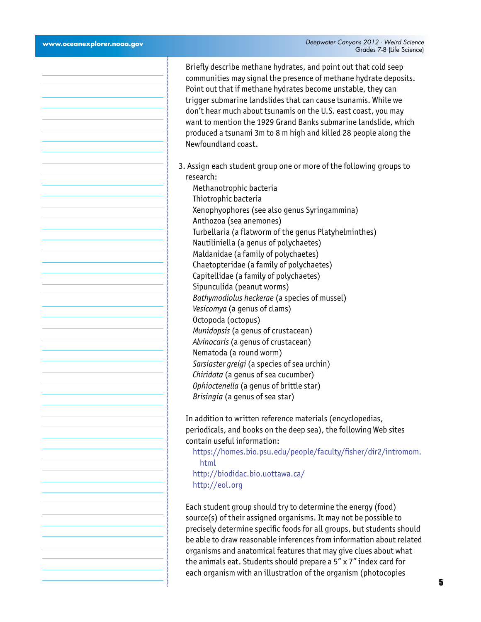∋

| Briefly describe methane hydrates, and point out that cold seep<br>communities may signal the presence of methane hydrate deposits.<br>Point out that if methane hydrates become unstable, they can<br>trigger submarine landslides that can cause tsunamis. While we<br>don't hear much about tsunamis on the U.S. east coast, you may<br>want to mention the 1929 Grand Banks submarine landslide, which<br>produced a tsunami 3m to 8 m high and killed 28 people along the<br>Newfoundland coast. |
|-------------------------------------------------------------------------------------------------------------------------------------------------------------------------------------------------------------------------------------------------------------------------------------------------------------------------------------------------------------------------------------------------------------------------------------------------------------------------------------------------------|
| 3. Assign each student group one or more of the following groups to                                                                                                                                                                                                                                                                                                                                                                                                                                   |
| research:                                                                                                                                                                                                                                                                                                                                                                                                                                                                                             |
| Methanotrophic bacteria                                                                                                                                                                                                                                                                                                                                                                                                                                                                               |
| Thiotrophic bacteria                                                                                                                                                                                                                                                                                                                                                                                                                                                                                  |
| Xenophyophores (see also genus Syringammina)                                                                                                                                                                                                                                                                                                                                                                                                                                                          |
| Anthozoa (sea anemones)                                                                                                                                                                                                                                                                                                                                                                                                                                                                               |
| Turbellaria (a flatworm of the genus Platyhelminthes)                                                                                                                                                                                                                                                                                                                                                                                                                                                 |
| Nautiliniella (a genus of polychaetes)                                                                                                                                                                                                                                                                                                                                                                                                                                                                |
| Maldanidae (a family of polychaetes)                                                                                                                                                                                                                                                                                                                                                                                                                                                                  |
| Chaetopteridae (a family of polychaetes)                                                                                                                                                                                                                                                                                                                                                                                                                                                              |
| Capitellidae (a family of polychaetes)                                                                                                                                                                                                                                                                                                                                                                                                                                                                |
| Sipunculida (peanut worms)                                                                                                                                                                                                                                                                                                                                                                                                                                                                            |
| Bathymodiolus heckerae (a species of mussel)                                                                                                                                                                                                                                                                                                                                                                                                                                                          |
| Vesicomya (a genus of clams)                                                                                                                                                                                                                                                                                                                                                                                                                                                                          |
| Octopoda (octopus)                                                                                                                                                                                                                                                                                                                                                                                                                                                                                    |
| Munidopsis (a genus of crustacean)                                                                                                                                                                                                                                                                                                                                                                                                                                                                    |
| Alvinocaris (a genus of crustacean)                                                                                                                                                                                                                                                                                                                                                                                                                                                                   |
| Nematoda (a round worm)                                                                                                                                                                                                                                                                                                                                                                                                                                                                               |
| Sarsiaster greigi (a species of sea urchin)                                                                                                                                                                                                                                                                                                                                                                                                                                                           |
| Chiridota (a genus of sea cucumber)                                                                                                                                                                                                                                                                                                                                                                                                                                                                   |
| Ophioctenella (a genus of brittle star)                                                                                                                                                                                                                                                                                                                                                                                                                                                               |
| Brisingia (a genus of sea star)                                                                                                                                                                                                                                                                                                                                                                                                                                                                       |
|                                                                                                                                                                                                                                                                                                                                                                                                                                                                                                       |
| In addition to written reference materials (encyclopedias,                                                                                                                                                                                                                                                                                                                                                                                                                                            |
| periodicals, and books on the deep sea), the following Web sites                                                                                                                                                                                                                                                                                                                                                                                                                                      |
| contain useful information:                                                                                                                                                                                                                                                                                                                                                                                                                                                                           |
| https://homes.bio.psu.edu/people/faculty/fisher/dir2/intromom.                                                                                                                                                                                                                                                                                                                                                                                                                                        |
| html                                                                                                                                                                                                                                                                                                                                                                                                                                                                                                  |
| http://biodidac.bio.uottawa.ca/                                                                                                                                                                                                                                                                                                                                                                                                                                                                       |
| http://eol.org                                                                                                                                                                                                                                                                                                                                                                                                                                                                                        |
|                                                                                                                                                                                                                                                                                                                                                                                                                                                                                                       |
| Each student group should try to determine the energy (food)                                                                                                                                                                                                                                                                                                                                                                                                                                          |
| source(s) of their assigned organisms. It may not be possible to                                                                                                                                                                                                                                                                                                                                                                                                                                      |
| precisely determine specific foods for all groups, but students should                                                                                                                                                                                                                                                                                                                                                                                                                                |
| be able to draw reasonable inferences from information about related                                                                                                                                                                                                                                                                                                                                                                                                                                  |
| organisms and anatomical features that may give clues about what                                                                                                                                                                                                                                                                                                                                                                                                                                      |
| the animals eat. Students should prepare a $5'' \times 7''$ index card for                                                                                                                                                                                                                                                                                                                                                                                                                            |
| each organism with an illustration of the organism (photocopies                                                                                                                                                                                                                                                                                                                                                                                                                                       |
|                                                                                                                                                                                                                                                                                                                                                                                                                                                                                                       |
|                                                                                                                                                                                                                                                                                                                                                                                                                                                                                                       |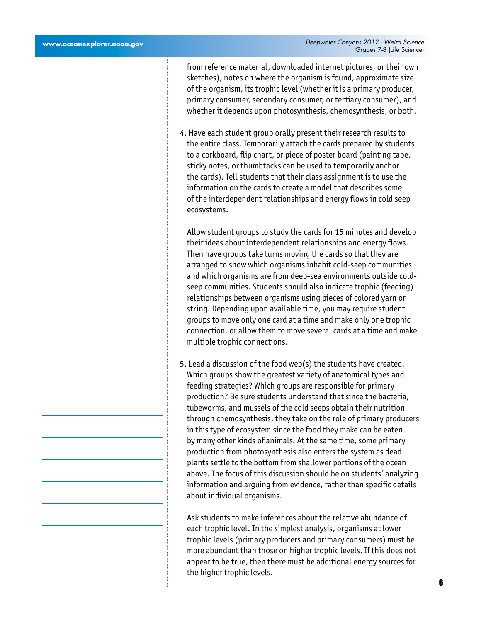from reference material, downloaded internet pictures, or their own sketches), notes on where the organism is found, approximate size of the organism, its trophic level (whether it is a primary producer, primary consumer, secondary consumer, or tertiary consumer), and whether it depends upon photosynthesis, chemosynthesis, or both. 4. Have each student group orally present their research results to the entire class. Temporarily attach the cards prepared by students to a corkboard, flip chart, or piece of poster board (painting tape, sticky notes, or thumbtacks can be used to temporarily anchor the cards). Tell students that their class assignment is to use the information on the cards to create a model that describes some of the interdependent relationships and energy flows in cold seep ecosystems. Allow student groups to study the cards for 15 minutes and develop their ideas about interdependent relationships and energy flows. Then have groups take turns moving the cards so that they are arranged to show which organisms inhabit cold-seep communities and which organisms are from deep-sea environments outside coldseep communities. Students should also indicate trophic (feeding) relationships between organisms using pieces of colored yarn or string. Depending upon available time, you may require student groups to move only one card at a time and make only one trophic connection, or allow them to move several cards at a time and make multiple trophic connections. 5. Lead a discussion of the food web(s) the students have created. Which groups show the greatest variety of anatomical types and feeding strategies? Which groups are responsible for primary production? Be sure students understand that since the bacteria, tubeworms, and mussels of the cold seeps obtain their nutrition through chemosynthesis, they take on the role of primary producers in this type of ecosystem since the food they make can be eaten by many other kinds of animals. At the same time, some primary production from photosynthesis also enters the system as dead plants settle to the bottom from shallower portions of the ocean above. The focus of this discussion should be on students' analyzing information and arguing from evidence, rather than specific details about individual organisms. Ask students to make inferences about the relative abundance of each trophic level. In the simplest analysis, organisms at lower trophic levels (primary producers and primary consumers) must be more abundant than those on higher trophic levels. If this does not appear to be true, then there must be additional energy sources for the higher trophic levels.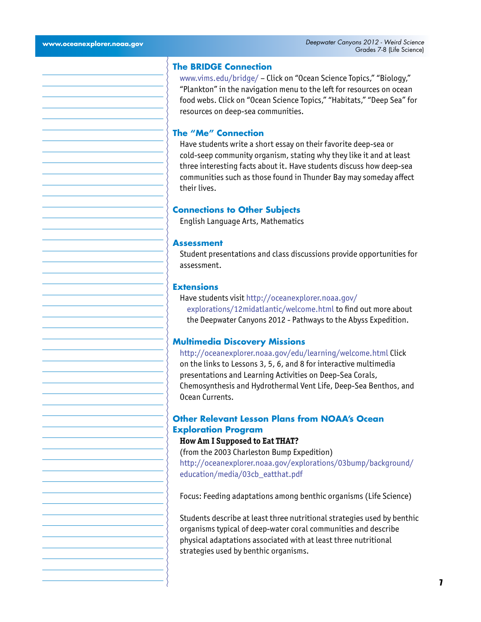#### **The BRIDGE Connection**

<www.vims.edu/bridge/> – Click on "Ocean Science Topics," "Biology," "Plankton" in the navigation menu to the left for resources on ocean food webs. Click on "Ocean Science Topics," "Habitats," "Deep Sea" for resources on deep-sea communities.

#### **The "Me" Connection**

Have students write a short essay on their favorite deep-sea or cold-seep community organism, stating why they like it and at least three interesting facts about it. Have students discuss how deep-sea communities such as those found in Thunder Bay may someday affect their lives.

#### **Connections to Other Subjects**

English Language Arts, Mathematics

#### **Assessment**

Student presentations and class discussions provide opportunities for assessment.

#### **Extensions**

Have students visit [http://oceanexplorer.noaa.gov/](http://oceanexplorer.noaa.gov/explorations/12midatlantic/welcome.html) [explorations/12midatlantic/welcome.html](http://oceanexplorer.noaa.gov/explorations/12midatlantic/welcome.html) to find out more about

the Deepwater Canyons 2012 - Pathways to the Abyss Expedition.

#### **Multimedia Discovery Missions**

<http://oceanexplorer.noaa.gov/edu/learning/welcome.html> Click on the links to Lessons 3, 5, 6, and 8 for interactive multimedia presentations and Learning Activities on Deep-Sea Corals, Chemosynthesis and Hydrothermal Vent Life, Deep-Sea Benthos, and Ocean Currents.

# **Other Relevant Lesson Plans from NOAA's Ocean Exploration Program**

#### **How Am I Supposed to Eat THAT?**

(from the 2003 Charleston Bump Expedition) [http://oceanexplorer.noaa.gov/explorations/03bump/background/](http://oceanexplorer.noaa.gov/explorations/03bump/background/education/media/03cb_eatthat.pdf) [education/media/03cb\\_eatthat.pdf](http://oceanexplorer.noaa.gov/explorations/03bump/background/education/media/03cb_eatthat.pdf)

Focus: Feeding adaptations among benthic organisms (Life Science)

Students describe at least three nutritional strategies used by benthic organisms typical of deep-water coral communities and describe physical adaptations associated with at least three nutritional strategies used by benthic organisms.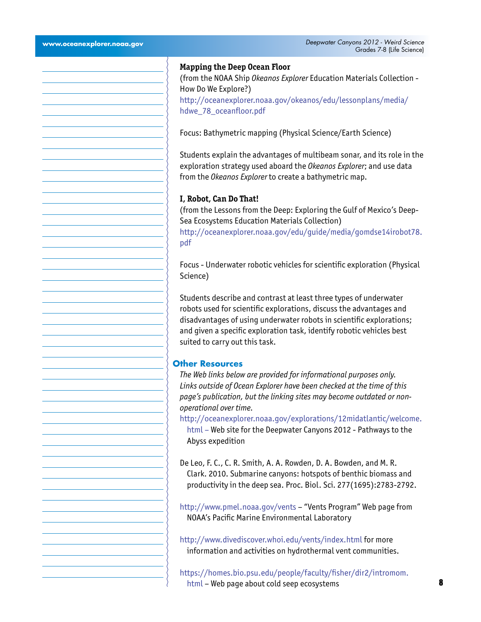# How Do We Explore?) [hdwe\\_78\\_oceanfloor.pdf](http://oceanexplorer.noaa.gov/okeanos/edu/lessonplans/media/hdwe_78_oceanfloor.pdf) [pdf](http://oceanexplorer.noaa.gov/edu/guide/media/gomdse14irobot78.pdf) Science) **Other Resources**  *operational over time.* Abyss expedition

**Mapping the Deep Ocean Floor**

(from the NOAA Ship *Okeanos Explorer* Education Materials Collection [http://oceanexplorer.noaa.gov/okeanos/edu/lessonplans/media/](http://oceanexplorer.noaa.gov/okeanos/edu/lessonplans/media/hdwe_78_oceanfloor.pdf)

Focus: Bathymetric mapping (Physical Science/Earth Science)

Students explain the advantages of multibeam sonar, and its role in the exploration strategy used aboard the *Okeanos Explorer*; and use data from the *Okeanos Explorer* to create a bathymetric map.

# **I, Robot, Can Do That!**

(from the Lessons from the Deep: Exploring the Gulf of Mexico's Deep-Sea Ecosystems Education Materials Collection) [http://oceanexplorer.noaa.gov/edu/guide/media/gomdse14irobot78.](http://oceanexplorer.noaa.gov/edu/guide/media/gomdse14irobot78.pdf)

Focus - Underwater robotic vehicles for scientific exploration (Physical

Students describe and contrast at least three types of underwater robots used for scientific explorations, discuss the advantages and disadvantages of using underwater robots in scientific explorations; and given a specific exploration task, identify robotic vehicles best suited to carry out this task.

*The Web links below are provided for informational purposes only. Links outside of Ocean Explorer have been checked at the time of this page's publication, but the linking sites may become outdated or non-*

[http://oceanexplorer.noaa.gov/explorations/12midatlantic/welcome.](http://oceanexplorer.noaa.gov/explorations/12midatlantic/welcome.html) [html](http://oceanexplorer.noaa.gov/explorations/12midatlantic/welcome.html) – Web site for the Deepwater Canyons 2012 - Pathways to the

De Leo, F. C., C. R. Smith, A. A. Rowden, D. A. Bowden, and M. R. Clark. 2010. Submarine canyons: hotspots of benthic biomass and productivity in the deep sea. Proc. Biol. Sci. 277(1695):2783-2792.

<http://www.pmel.noaa.gov/vents> – "Vents Program" Web page from NOAA's Pacific Marine Environmental Laboratory

<http://www.divediscover.whoi.edu/vents/index.html> for more information and activities on hydrothermal vent communities.

[https://homes.bio.psu.edu/people/faculty/fisher/dir2/intromom.](https://homes.bio.psu.edu/people/faculty/fisher/dir2/intromom.html) [html](https://homes.bio.psu.edu/people/faculty/fisher/dir2/intromom.html) – Web page about cold seep ecosystems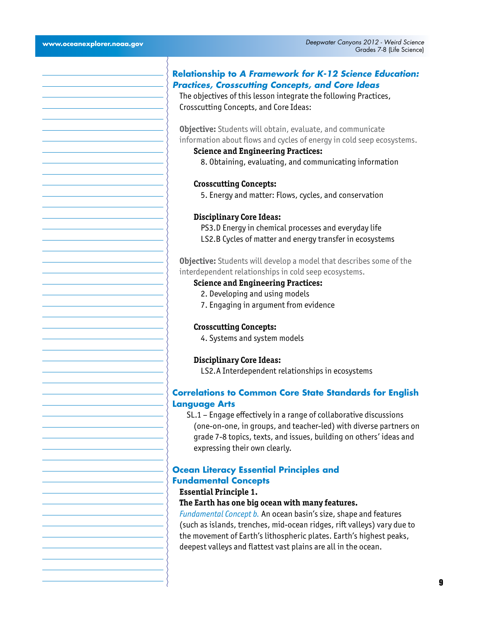# **Relationship to** *A Framework for K-12 Science Education: Practices, Crosscutting Concepts, and Core Ideas*

The objectives of this lesson integrate the following Practices, Crosscutting Concepts, and Core Ideas:

**Objective:** Students will obtain, evaluate, and communicate information about flows and cycles of energy in cold seep ecosystems.

**Science and Engineering Practices:**

8. Obtaining, evaluating, and communicating information

#### **Crosscutting Concepts:**

5. Energy and matter: Flows, cycles, and conservation

#### **Disciplinary Core Ideas:**

PS3.D Energy in chemical processes and everyday life LS2.B Cycles of matter and energy transfer in ecosystems

**Objective:** Students will develop a model that describes some of the interdependent relationships in cold seep ecosystems.

# **Science and Engineering Practices:**

- 2. Developing and using models
- 7. Engaging in argument from evidence

#### **Crosscutting Concepts:**

4. Systems and system models

**Disciplinary Core Ideas:**

LS2.A Interdependent relationships in ecosystems

# **Correlations to Common Core State Standards for English Language Arts**

SL.1 – Engage effectively in a range of collaborative discussions (one-on-one, in groups, and teacher-led) with diverse partners on grade 7-8 topics, texts, and issues, building on others' ideas and expressing their own clearly.

## **Ocean Literacy Essential Principles and Fundamental Concepts**

#### **Essential Principle 1.**

#### **The Earth has one big ocean with many features.**

*Fundamental Concept b.* An ocean basin's size, shape and features (such as islands, trenches, mid-ocean ridges, rift valleys) vary due to the movement of Earth's lithospheric plates. Earth's highest peaks, deepest valleys and flattest vast plains are all in the ocean.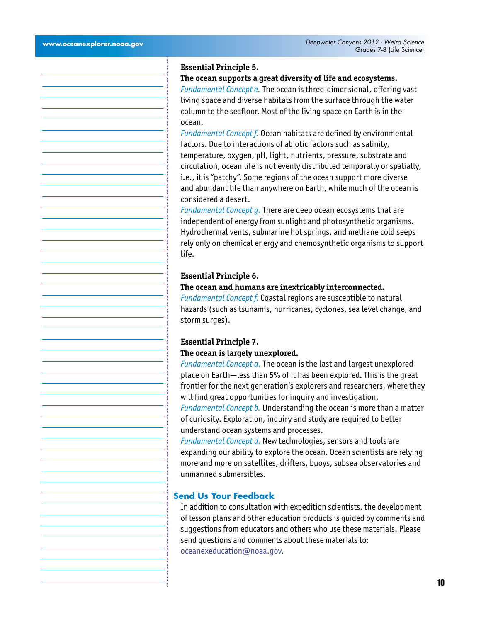#### **Essential Principle 5.**

#### **The ocean supports a great diversity of life and ecosystems.**

*Fundamental Concept e.* The ocean is three-dimensional, offering vast living space and diverse habitats from the surface through the water column to the seafloor. Most of the living space on Earth is in the ocean.

*Fundamental Concept f.* Ocean habitats are defined by environmental factors. Due to interactions of abiotic factors such as salinity, temperature, oxygen, pH, light, nutrients, pressure, substrate and circulation, ocean life is not evenly distributed temporally or spatially, i.e., it is "patchy". Some regions of the ocean support more diverse and abundant life than anywhere on Earth, while much of the ocean is considered a desert.

*Fundamental Concept g.* There are deep ocean ecosystems that are independent of energy from sunlight and photosynthetic organisms. Hydrothermal vents, submarine hot springs, and methane cold seeps rely only on chemical energy and chemosynthetic organisms to support life.

#### **Essential Principle 6.**

#### **The ocean and humans are inextricably interconnected.**

*Fundamental Concept f.* Coastal regions are susceptible to natural hazards (such as tsunamis, hurricanes, cyclones, sea level change, and storm surges).

# **Essential Principle 7. The ocean is largely unexplored.**

*Fundamental Concept a.* The ocean is the last and largest unexplored place on Earth—less than 5% of it has been explored. This is the great frontier for the next generation's explorers and researchers, where they will find great opportunities for inquiry and investigation.

*Fundamental Concept b.* Understanding the ocean is more than a matter of curiosity. Exploration, inquiry and study are required to better understand ocean systems and processes.

*Fundamental Concept d.* New technologies, sensors and tools are expanding our ability to explore the ocean. Ocean scientists are relying more and more on satellites, drifters, buoys, subsea observatories and unmanned submersibles.

#### **Send Us Your Feedback**

In addition to consultation with expedition scientists, the development of lesson plans and other education products is guided by comments and suggestions from educators and others who use these materials. Please send questions and comments about these materials to: [oceanexeducation@noaa.gov](mailto:oceanexeducation%40noaa.gov?subject=Feedback).